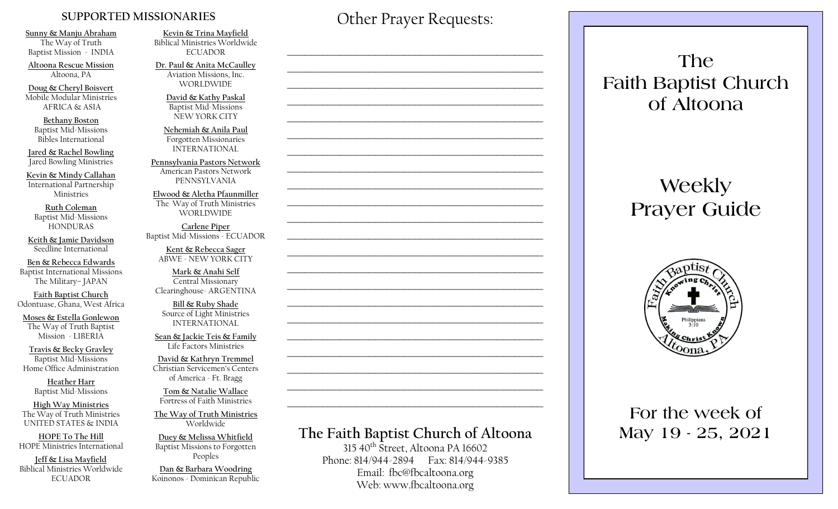#### **SUPPORTED MISSIONARIES**

**Sunny & Manju Abraham**  The Way of Truth Baptist Mission - INDIA

**Altoona Rescue Mission** Altoona, PA

**Doug & Cheryl Boisvert** Mobile Modular Ministries AFRICA & ASIA

**Bethany Boston** Baptist Mid-Missions Bibles International

**Jared & Rachel Bowling** Jared Bowling Ministries

**Kevin & Mindy Callahan** International Partnership Ministries

**Ruth Coleman** Baptist Mid-Missions HONDURAS

**Keith & Jamie Davidson** Seedline International

**Ben & Rebecca Edwards** Baptist International Missions The Military– JAPAN

**Faith Baptist Church** Odontuase, Ghana, West Africa

**Moses & Estella Gonlewon** The Way of Truth Baptist Mission - LIBERIA

**Travis & Becky Gravley**  Baptist Mid-Missions Home Office Administration

> **Heather Harr** Baptist Mid-Missions

**High Way Ministries** The Way of Truth Ministries UNITED STATES & INDIA

**HOPE To The Hill** HOPE Ministries International

**Jeff & Lisa Mayfield** Biblical Ministries Worldwide **ECUADOR** 

**Kevin & Trina Mayfield** Biblical Ministries Worldwide ECUADOR

**Dr. Paul & Anita McCaulley** Aviation Missions, Inc. WORLDWIDE

> **David & Kathy Paskal** Baptist Mid-Missions NEW YORK CITY

**Nehemiah & Anila Paul** Forgotten Missionaries INTERNATIONAL

**Pennsylvania Pastors Network** American Pastors Network PENNSYLVANIA

**Elwood & Aletha Pfaunmiller** The Way of Truth Ministries WORLDWIDE

**Carlene Piper** Baptist Mid-Missions - ECUADOR

> **Kent & Rebecca Sager** ABWE - NEW YORK CITY

**Mark & Anahi Self** Central Missionary Clearinghouse- ARGENTINA

**Bill & Ruby Shade** Source of Light Ministries INTERNATIONAL

**Sean & Jackie Teis & Family** Life Factors Ministries

**David & Kathryn Tremmel**  Christian Servicemen's Centers of America - Ft. Bragg

**Tom & Natalie Wallace** Fortress of Faith Ministries

**The Way of Truth Ministries**  Worldwide

**Duey & Melissa Whitfield** Baptist Missions to Forgotten Peoples

**Dan & Barbara Woodring**  Koinonos - Dominican Republic Other Prayer Requests:

 $\mathcal{L}_\text{max}$  and  $\mathcal{L}_\text{max}$  and  $\mathcal{L}_\text{max}$  and  $\mathcal{L}_\text{max}$  and  $\mathcal{L}_\text{max}$ 

 $\mathcal{L}_\text{max}$  , and the contract of the contract of the contract of the contract of the contract of the contract of the contract of the contract of the contract of the contract of the contract of the contract of the contr

 $\mathcal{L}_\text{max}$  and  $\mathcal{L}_\text{max}$  and  $\mathcal{L}_\text{max}$  and  $\mathcal{L}_\text{max}$  and  $\mathcal{L}_\text{max}$ 

 $\mathcal{L}_\text{max}$  and  $\mathcal{L}_\text{max}$  and  $\mathcal{L}_\text{max}$  and  $\mathcal{L}_\text{max}$  and  $\mathcal{L}_\text{max}$ 

# **The Faith Baptist Church of Altoona**   $315\,40^{th}$  Street, Altoona PA 16602  $\mathcal{L}_\text{max}$  , and the contract of the contract of the contract of the contract of the contract of the contract of the contract of the contract of the contract of the contract of the contract of the contract of the contr  $\mathcal{L}_\text{max}$  , and the contract of the contract of the contract of the contract of the contract of the contract of the contract of the contract of the contract of the contract of the contract of the contract of the contr  $\mathcal{L}_\text{max}$  , and the contract of the contract of the contract of the contract of the contract of the contract of the contract of the contract of the contract of the contract of the contract of the contract of the contr  $\mathcal{L}_\text{max}$  and  $\mathcal{L}_\text{max}$  and  $\mathcal{L}_\text{max}$  and  $\mathcal{L}_\text{max}$  and  $\mathcal{L}_\text{max}$  $\mathcal{L}_\text{max}$  , and the contract of the contract of the contract of the contract of the contract of the contract of the contract of the contract of the contract of the contract of the contract of the contract of the contr  $\mathcal{L}_\text{max}$  , and the contract of the contract of the contract of the contract of the contract of the contract of the contract of the contract of the contract of the contract of the contract of the contract of the contr  $\mathcal{L}_\text{max}$  , and the contract of the contract of the contract of the contract of the contract of the contract of the contract of the contract of the contract of the contract of the contract of the contract of the contr  $\mathcal{L}_\text{max}$  , and the contract of the contract of the contract of the contract of the contract of the contract of the contract of the contract of the contract of the contract of the contract of the contract of the contr  $\mathcal{L}_\text{max}$  and  $\mathcal{L}_\text{max}$  and  $\mathcal{L}_\text{max}$  and  $\mathcal{L}_\text{max}$  and  $\mathcal{L}_\text{max}$  $\mathcal{L}_\text{max}$  , and the contract of the contract of the contract of the contract of the contract of the contract of the contract of the contract of the contract of the contract of the contract of the contract of the contr  $\mathcal{L}_\text{max}$  , and the contract of the contract of the contract of the contract of the contract of the contract of the contract of the contract of the contract of the contract of the contract of the contract of the contr

Phone: 814/944-2894 Fax: 814/944-9385 Email: fbc@fbcaltoona.org Web: www.fbcaltoona.org

# **The Faith Baptist Church of Altoona**

# **Weekly Prayer Guide**



### **For the week of May 19 - 25, 2021**